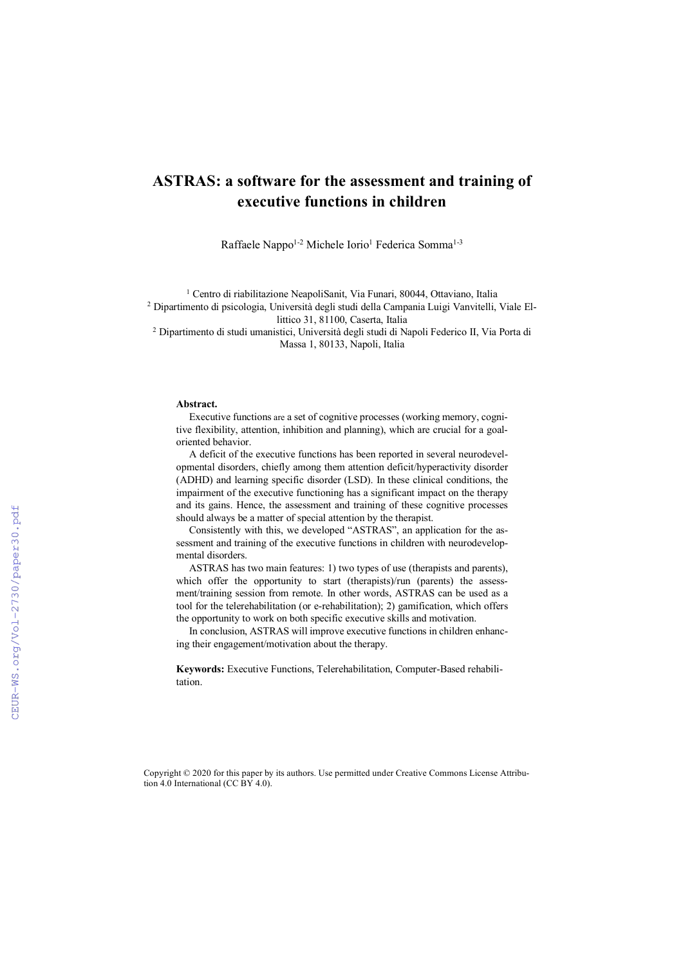# **ASTRAS: a software for the assessment and training of executive functions in children**

Raffaele Nappo<sup>1-2</sup> Michele Iorio<sup>1</sup> Federica Somma<sup>1-3</sup>

<sup>1</sup> Centro di riabilitazione NeapoliSanit, Via Funari, 80044, Ottaviano, Italia <sup>2</sup> Dipartimento di psicologia, Università degli studi della Campania Luigi Vanvitelli, Viale Ellittico 31, 81100, Caserta, Italia

<sup>2</sup> Dipartimento di studi umanistici, Università degli studi di Napoli Federico II, Via Porta di Massa 1, 80133, Napoli, Italia

#### **Abstract.**

Executive functions are a set of cognitive processes (working memory, cognitive flexibility, attention, inhibition and planning), which are crucial for a goaloriented behavior.

A deficit of the executive functions has been reported in several neurodevelopmental disorders, chiefly among them attention deficit/hyperactivity disorder (ADHD) and learning specific disorder (LSD). In these clinical conditions, the impairment of the executive functioning has a significant impact on the therapy and its gains. Hence, the assessment and training of these cognitive processes should always be a matter of special attention by the therapist.

Consistently with this, we developed "ASTRAS", an application for the assessment and training of the executive functions in children with neurodevelopmental disorders.

ASTRAS has two main features: 1) two types of use (therapists and parents), which offer the opportunity to start (therapists)/run (parents) the assessment/training session from remote. In other words, ASTRAS can be used as a tool for the telerehabilitation (or e-rehabilitation); 2) gamification, which offers the opportunity to work on both specific executive skills and motivation.

In conclusion, ASTRAS will improve executive functions in children enhancing their engagement/motivation about the therapy.

**Keywords:** Executive Functions, Telerehabilitation, Computer-Based rehabilitation.

Copyright © 2020 for this paper by its authors. Use permitted under Creative Commons License Attribution 4.0 International (CC BY 4.0).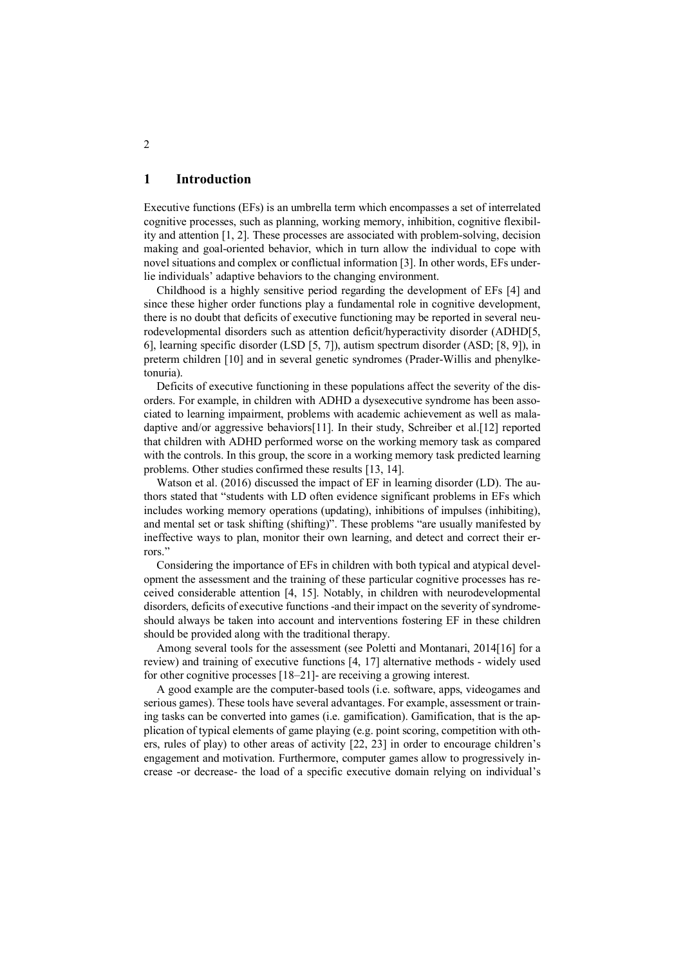## **1 Introduction**

Executive functions (EFs) is an umbrella term which encompasses a set of interrelated cognitive processes, such as planning, working memory, inhibition, cognitive flexibility and attention [1, 2]. These processes are associated with problem-solving, decision making and goal-oriented behavior, which in turn allow the individual to cope with novel situations and complex or conflictual information [3]. In other words, EFs underlie individuals' adaptive behaviors to the changing environment.

Childhood is a highly sensitive period regarding the development of EFs [4] and since these higher order functions play a fundamental role in cognitive development, there is no doubt that deficits of executive functioning may be reported in several neurodevelopmental disorders such as attention deficit/hyperactivity disorder (ADHD[5, 6], learning specific disorder (LSD [5, 7]), autism spectrum disorder (ASD; [8, 9]), in preterm children [10] and in several genetic syndromes (Prader-Willis and phenylketonuria).

Deficits of executive functioning in these populations affect the severity of the disorders. For example, in children with ADHD a dysexecutive syndrome has been associated to learning impairment, problems with academic achievement as well as maladaptive and/or aggressive behaviors[11]. In their study, Schreiber et al.[12] reported that children with ADHD performed worse on the working memory task as compared with the controls. In this group, the score in a working memory task predicted learning problems. Other studies confirmed these results [13, 14].

Watson et al. (2016) discussed the impact of EF in learning disorder (LD). The authors stated that "students with LD often evidence significant problems in EFs which includes working memory operations (updating), inhibitions of impulses (inhibiting), and mental set or task shifting (shifting)". These problems "are usually manifested by ineffective ways to plan, monitor their own learning, and detect and correct their errors<sup>"</sup>

Considering the importance of EFs in children with both typical and atypical development the assessment and the training of these particular cognitive processes has received considerable attention [4, 15]. Notably, in children with neurodevelopmental disorders, deficits of executive functions -and their impact on the severity of syndromeshould always be taken into account and interventions fostering EF in these children should be provided along with the traditional therapy.

Among several tools for the assessment (see Poletti and Montanari, 2014[16] for a review) and training of executive functions [4, 17] alternative methods - widely used for other cognitive processes [18–21]- are receiving a growing interest.

A good example are the computer-based tools (i.e. software, apps, videogames and serious games). These tools have several advantages. For example, assessment or training tasks can be converted into games (i.e. gamification). Gamification, that is the application of typical elements of game playing (e.g. point scoring, competition with others, rules of play) to other areas of activity [22, 23] in order to encourage children's engagement and motivation. Furthermore, computer games allow to progressively increase -or decrease- the load of a specific executive domain relying on individual's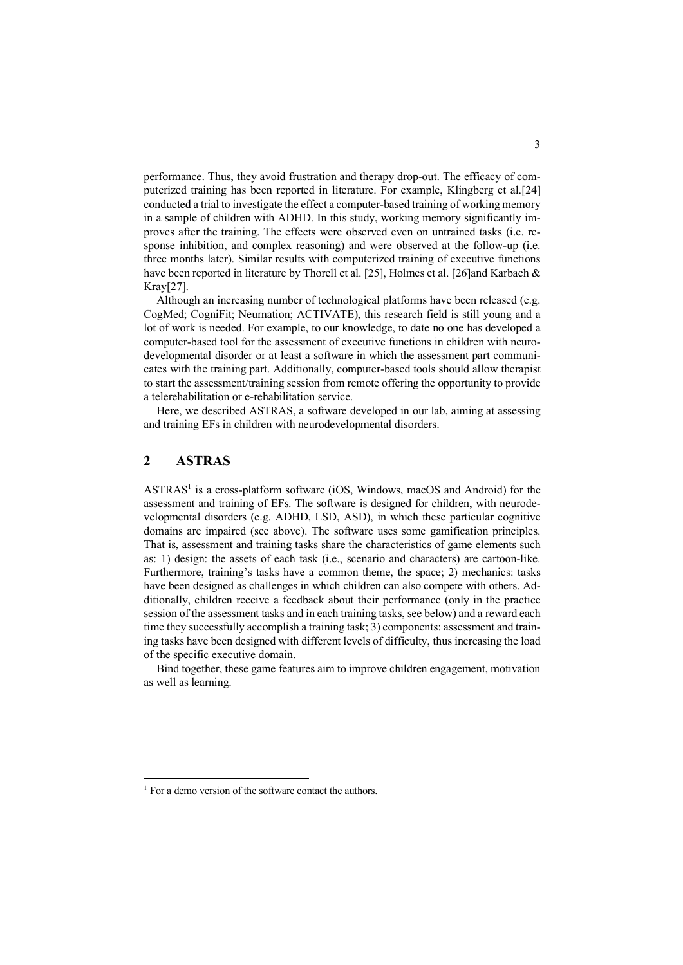performance. Thus, they avoid frustration and therapy drop-out. The efficacy of computerized training has been reported in literature. For example, Klingberg et al.[24] conducted a trial to investigate the effect a computer-based training of working memory in a sample of children with ADHD. In this study, working memory significantly improves after the training. The effects were observed even on untrained tasks (i.e. response inhibition, and complex reasoning) and were observed at the follow-up (i.e. three months later). Similar results with computerized training of executive functions have been reported in literature by Thorell et al. [25], Holmes et al. [26]and Karbach & Kray[27].

Although an increasing number of technological platforms have been released (e.g. CogMed; CogniFit; Neurnation; ACTIVATE), this research field is still young and a lot of work is needed. For example, to our knowledge, to date no one has developed a computer-based tool for the assessment of executive functions in children with neurodevelopmental disorder or at least a software in which the assessment part communicates with the training part. Additionally, computer-based tools should allow therapist to start the assessment/training session from remote offering the opportunity to provide a telerehabilitation or e-rehabilitation service.

Here, we described ASTRAS, a software developed in our lab, aiming at assessing and training EFs in children with neurodevelopmental disorders.

## **2 ASTRAS**

 $ASTRAS<sup>1</sup>$  is a cross-platform software (iOS, Windows, macOS and Android) for the assessment and training of EFs. The software is designed for children, with neurodevelopmental disorders (e.g. ADHD, LSD, ASD), in which these particular cognitive domains are impaired (see above). The software uses some gamification principles. That is, assessment and training tasks share the characteristics of game elements such as: 1) design: the assets of each task (i.e., scenario and characters) are cartoon-like. Furthermore, training's tasks have a common theme, the space; 2) mechanics: tasks have been designed as challenges in which children can also compete with others. Additionally, children receive a feedback about their performance (only in the practice session of the assessment tasks and in each training tasks, see below) and a reward each time they successfully accomplish a training task; 3) components: assessment and training tasks have been designed with different levels of difficulty, thus increasing the load of the specific executive domain.

Bind together, these game features aim to improve children engagement, motivation as well as learning.

 $<sup>1</sup>$  For a demo version of the software contact the authors.</sup>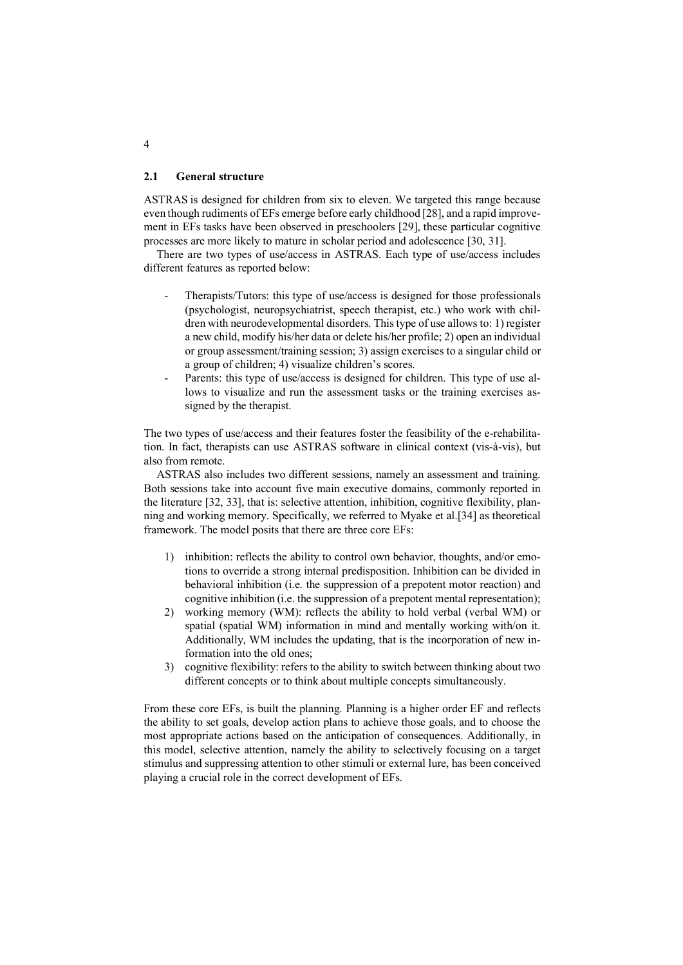#### **2.1 General structure**

ASTRAS is designed for children from six to eleven. We targeted this range because even though rudiments of EFs emerge before early childhood [28], and a rapid improvement in EFs tasks have been observed in preschoolers [29], these particular cognitive processes are more likely to mature in scholar period and adolescence [30, 31].

There are two types of use/access in ASTRAS. Each type of use/access includes different features as reported below:

- Therapists/Tutors: this type of use/access is designed for those professionals (psychologist, neuropsychiatrist, speech therapist, etc.) who work with children with neurodevelopmental disorders. This type of use allows to: 1) register a new child, modify his/her data or delete his/her profile; 2) open an individual or group assessment/training session; 3) assign exercises to a singular child or a group of children; 4) visualize children's scores.
- Parents: this type of use/access is designed for children. This type of use allows to visualize and run the assessment tasks or the training exercises assigned by the therapist.

The two types of use/access and their features foster the feasibility of the e-rehabilitation. In fact, therapists can use ASTRAS software in clinical context (vis-à-vis), but also from remote.

ASTRAS also includes two different sessions, namely an assessment and training. Both sessions take into account five main executive domains, commonly reported in the literature [32, 33], that is: selective attention, inhibition, cognitive flexibility, planning and working memory. Specifically, we referred to Myake et al.[34] as theoretical framework. The model posits that there are three core EFs:

- 1) inhibition: reflects the ability to control own behavior, thoughts, and/or emotions to override a strong internal predisposition. Inhibition can be divided in behavioral inhibition (i.e. the suppression of a prepotent motor reaction) and cognitive inhibition (i.e. the suppression of a prepotent mental representation);
- 2) working memory (WM): reflects the ability to hold verbal (verbal WM) or spatial (spatial WM) information in mind and mentally working with/on it. Additionally, WM includes the updating, that is the incorporation of new information into the old ones;
- 3) cognitive flexibility: refers to the ability to switch between thinking about two different concepts or to think about multiple concepts simultaneously.

From these core EFs, is built the planning. Planning is a higher order EF and reflects the ability to set goals, develop action plans to achieve those goals, and to choose the most appropriate actions based on the anticipation of consequences. Additionally, in this model, selective attention, namely the ability to selectively focusing on a target stimulus and suppressing attention to other stimuli or external lure, has been conceived playing a crucial role in the correct development of EFs.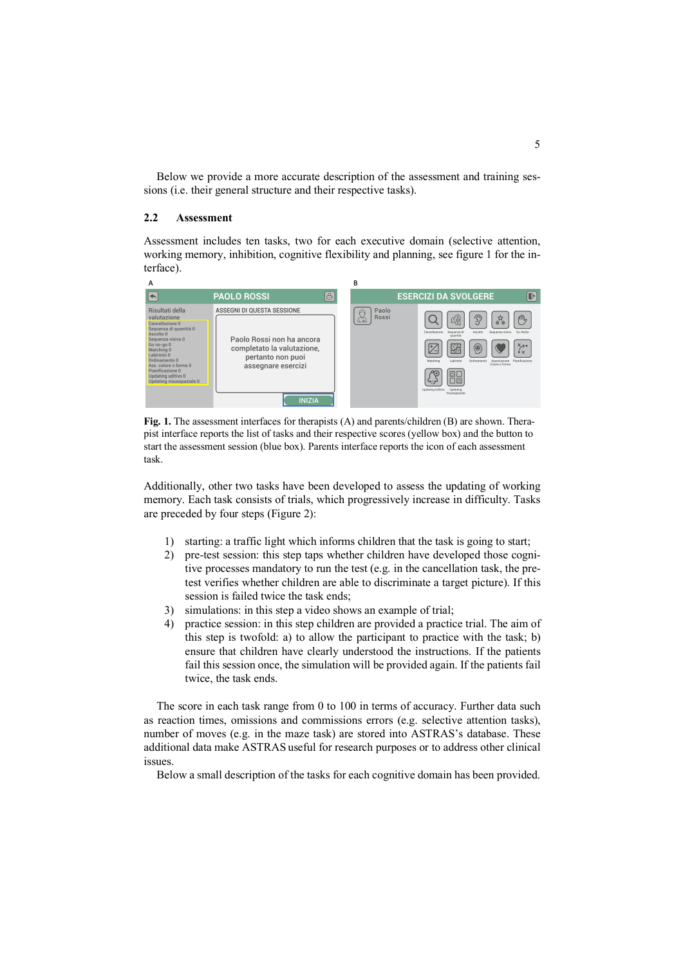Below we provide a more accurate description of the assessment and training sessions (i.e. their general structure and their respective tasks).

#### **2.2 Assessment**

Assessment includes ten tasks, two for each executive domain (selective attention, working memory, inhibition, cognitive flexibility and planning, see figure 1 for the interface).



**Fig. 1.** The assessment interfaces for therapists (A) and parents/children (B) are shown. Therapist interface reports the list of tasks and their respective scores (yellow box) and the button to start the assessment session (blue box). Parents interface reports the icon of each assessment task.

Additionally, other two tasks have been developed to assess the updating of working memory. Each task consists of trials, which progressively increase in difficulty. Tasks are preceded by four steps (Figure 2):

- 1) starting: a traffic light which informs children that the task is going to start;
- 2) pre-test session: this step taps whether children have developed those cognitive processes mandatory to run the test (e.g. in the cancellation task, the pretest verifies whether children are able to discriminate a target picture). If this session is failed twice the task ends;
- 3) simulations: in this step a video shows an example of trial;
- 4) practice session: in this step children are provided a practice trial. The aim of this step is twofold: a) to allow the participant to practice with the task; b) ensure that children have clearly understood the instructions. If the patients fail this session once, the simulation will be provided again. If the patients fail twice, the task ends.

The score in each task range from 0 to 100 in terms of accuracy. Further data such as reaction times, omissions and commissions errors (e.g. selective attention tasks), number of moves (e.g. in the maze task) are stored into ASTRAS's database. These additional data make ASTRAS useful for research purposes or to address other clinical issues.

Below a small description of the tasks for each cognitive domain has been provided.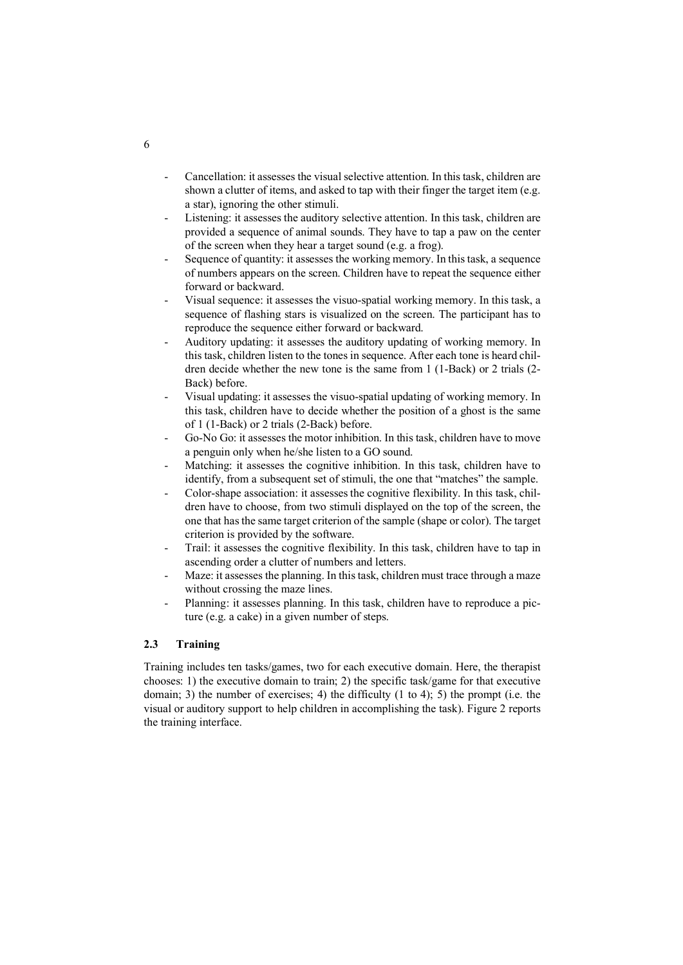- Cancellation: it assesses the visual selective attention. In this task, children are shown a clutter of items, and asked to tap with their finger the target item (e.g. a star), ignoring the other stimuli.
- Listening: it assesses the auditory selective attention. In this task, children are provided a sequence of animal sounds. They have to tap a paw on the center of the screen when they hear a target sound (e.g. a frog).
- Sequence of quantity: it assesses the working memory. In this task, a sequence of numbers appears on the screen. Children have to repeat the sequence either forward or backward.
- Visual sequence: it assesses the visuo-spatial working memory. In this task, a sequence of flashing stars is visualized on the screen. The participant has to reproduce the sequence either forward or backward.
- Auditory updating: it assesses the auditory updating of working memory. In this task, children listen to the tones in sequence. After each tone is heard children decide whether the new tone is the same from 1 (1-Back) or 2 trials (2- Back) before.
- Visual updating: it assesses the visuo-spatial updating of working memory. In this task, children have to decide whether the position of a ghost is the same of 1 (1-Back) or 2 trials (2-Back) before.
- Go-No Go: it assesses the motor inhibition. In this task, children have to move a penguin only when he/she listen to a GO sound.
- Matching: it assesses the cognitive inhibition. In this task, children have to identify, from a subsequent set of stimuli, the one that "matches" the sample.
- Color-shape association: it assesses the cognitive flexibility. In this task, children have to choose, from two stimuli displayed on the top of the screen, the one that has the same target criterion of the sample (shape or color). The target criterion is provided by the software.
- Trail: it assesses the cognitive flexibility. In this task, children have to tap in ascending order a clutter of numbers and letters.
- Maze: it assesses the planning. In this task, children must trace through a maze without crossing the maze lines.
- Planning: it assesses planning. In this task, children have to reproduce a picture (e.g. a cake) in a given number of steps.

### **2.3 Training**

Training includes ten tasks/games, two for each executive domain. Here, the therapist chooses: 1) the executive domain to train; 2) the specific task/game for that executive domain; 3) the number of exercises; 4) the difficulty (1 to 4); 5) the prompt (i.e. the visual or auditory support to help children in accomplishing the task). Figure 2 reports the training interface.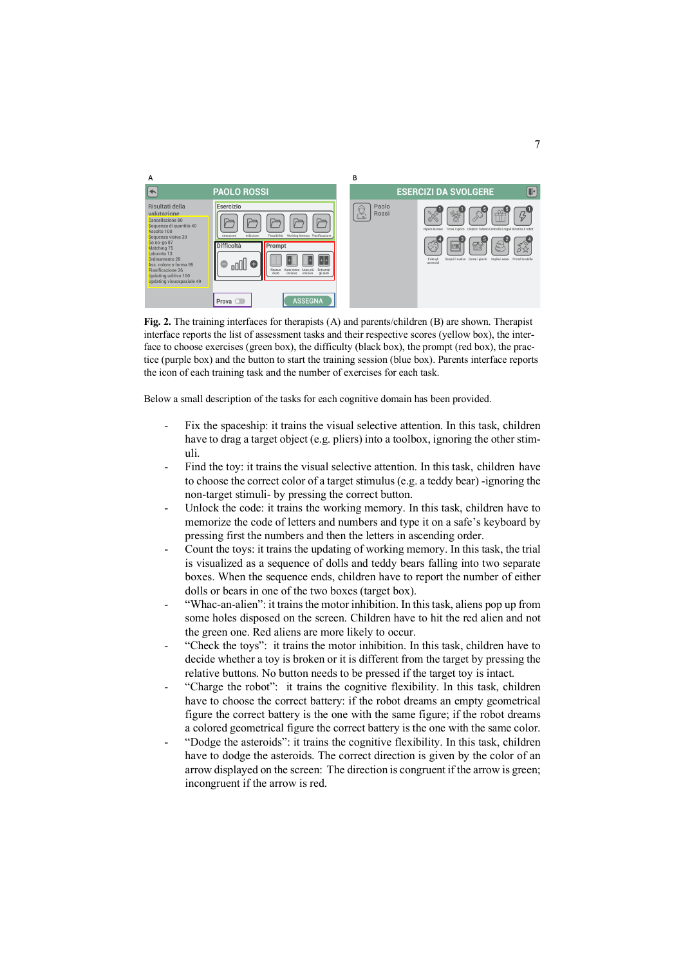

**Fig. 2.** The training interfaces for therapists (A) and parents/children (B) are shown. Therapist interface reports the list of assessment tasks and their respective scores (yellow box), the interface to choose exercises (green box), the difficulty (black box), the prompt (red box), the practice (purple box) and the button to start the training session (blue box). Parents interface reports the icon of each training task and the number of exercises for each task.

Below a small description of the tasks for each cognitive domain has been provided.

- Fix the spaceship: it trains the visual selective attention. In this task, children have to drag a target object (e.g. pliers) into a toolbox, ignoring the other stimuli.
- Find the toy: it trains the visual selective attention. In this task, children have to choose the correct color of a target stimulus (e.g. a teddy bear) -ignoring the non-target stimuli- by pressing the correct button.
- Unlock the code: it trains the working memory. In this task, children have to memorize the code of letters and numbers and type it on a safe's keyboard by pressing first the numbers and then the letters in ascending order.
- Count the toys: it trains the updating of working memory. In this task, the trial is visualized as a sequence of dolls and teddy bears falling into two separate boxes. When the sequence ends, children have to report the number of either dolls or bears in one of the two boxes (target box).
- "Whac-an-alien": it trains the motor inhibition. In this task, aliens pop up from some holes disposed on the screen. Children have to hit the red alien and not the green one. Red aliens are more likely to occur.
- "Check the toys": it trains the motor inhibition. In this task, children have to decide whether a toy is broken or it is different from the target by pressing the relative buttons. No button needs to be pressed if the target toy is intact.
- "Charge the robot": it trains the cognitive flexibility. In this task, children have to choose the correct battery: if the robot dreams an empty geometrical figure the correct battery is the one with the same figure; if the robot dreams a colored geometrical figure the correct battery is the one with the same color.
- "Dodge the asteroids": it trains the cognitive flexibility. In this task, children have to dodge the asteroids. The correct direction is given by the color of an arrow displayed on the screen: The direction is congruent if the arrow is green; incongruent if the arrow is red.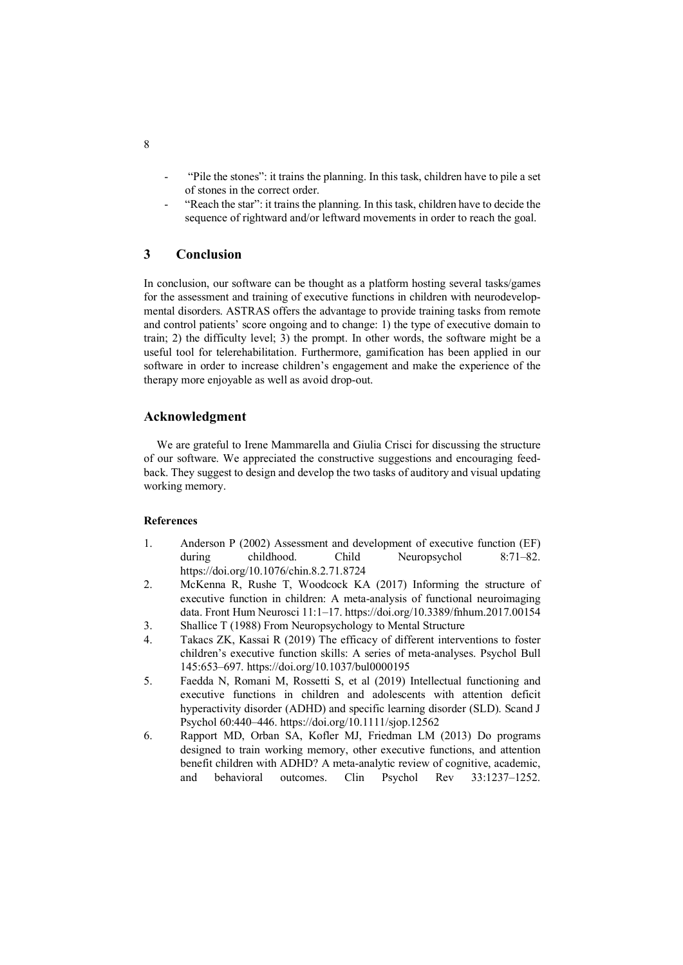- "Pile the stones": it trains the planning. In this task, children have to pile a set of stones in the correct order.
- "Reach the star": it trains the planning. In this task, children have to decide the sequence of rightward and/or leftward movements in order to reach the goal.

## **3 Conclusion**

In conclusion, our software can be thought as a platform hosting several tasks/games for the assessment and training of executive functions in children with neurodevelopmental disorders. ASTRAS offers the advantage to provide training tasks from remote and control patients' score ongoing and to change: 1) the type of executive domain to train; 2) the difficulty level; 3) the prompt. In other words, the software might be a useful tool for telerehabilitation. Furthermore, gamification has been applied in our software in order to increase children's engagement and make the experience of the therapy more enjoyable as well as avoid drop-out.

#### **Acknowledgment**

We are grateful to Irene Mammarella and Giulia Crisci for discussing the structure of our software. We appreciated the constructive suggestions and encouraging feedback. They suggest to design and develop the two tasks of auditory and visual updating working memory.

#### **References**

- 1. Anderson P (2002) Assessment and development of executive function (EF) during childhood. Child Neuropsychol 8:71–82. https://doi.org/10.1076/chin.8.2.71.8724
- 2. McKenna R, Rushe T, Woodcock KA (2017) Informing the structure of executive function in children: A meta-analysis of functional neuroimaging data. Front Hum Neurosci 11:1–17. https://doi.org/10.3389/fnhum.2017.00154
- 3. Shallice T (1988) From Neuropsychology to Mental Structure
- 4. Takacs ZK, Kassai R (2019) The efficacy of different interventions to foster children's executive function skills: A series of meta-analyses. Psychol Bull 145:653–697. https://doi.org/10.1037/bul0000195
- 5. Faedda N, Romani M, Rossetti S, et al (2019) Intellectual functioning and executive functions in children and adolescents with attention deficit hyperactivity disorder (ADHD) and specific learning disorder (SLD). Scand J Psychol 60:440–446. https://doi.org/10.1111/sjop.12562
- 6. Rapport MD, Orban SA, Kofler MJ, Friedman LM (2013) Do programs designed to train working memory, other executive functions, and attention benefit children with ADHD? A meta-analytic review of cognitive, academic, and behavioral outcomes. Clin Psychol Rev 33:1237–1252.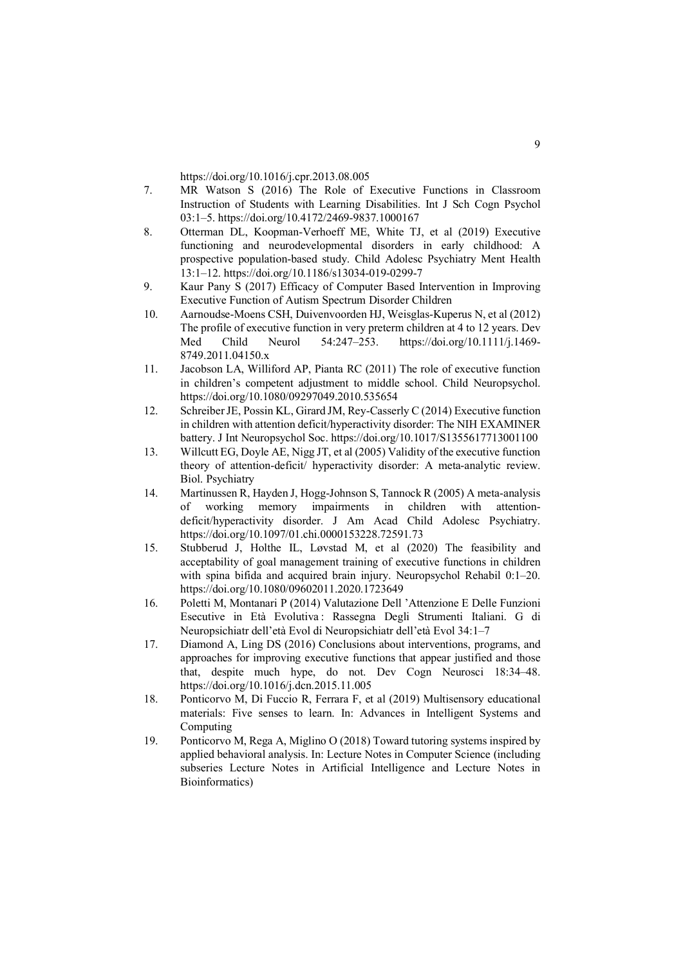https://doi.org/10.1016/j.cpr.2013.08.005

- 7. MR Watson S (2016) The Role of Executive Functions in Classroom Instruction of Students with Learning Disabilities. Int J Sch Cogn Psychol 03:1–5. https://doi.org/10.4172/2469-9837.1000167
- 8. Otterman DL, Koopman-Verhoeff ME, White TJ, et al (2019) Executive functioning and neurodevelopmental disorders in early childhood: A prospective population-based study. Child Adolesc Psychiatry Ment Health 13:1–12. https://doi.org/10.1186/s13034-019-0299-7
- 9. Kaur Pany S (2017) Efficacy of Computer Based Intervention in Improving Executive Function of Autism Spectrum Disorder Children
- 10. Aarnoudse-Moens CSH, Duivenvoorden HJ, Weisglas-Kuperus N, et al (2012) The profile of executive function in very preterm children at 4 to 12 years. Dev Med Child Neurol 54:247–253. https://doi.org/10.1111/j.1469- 8749.2011.04150.x
- 11. Jacobson LA, Williford AP, Pianta RC (2011) The role of executive function in children's competent adjustment to middle school. Child Neuropsychol. https://doi.org/10.1080/09297049.2010.535654
- 12. Schreiber JE, Possin KL, Girard JM, Rey-Casserly C (2014) Executive function in children with attention deficit/hyperactivity disorder: The NIH EXAMINER battery. J Int Neuropsychol Soc. https://doi.org/10.1017/S1355617713001100
- 13. Willcutt EG, Doyle AE, Nigg JT, et al (2005) Validity of the executive function theory of attention-deficit/ hyperactivity disorder: A meta-analytic review. Biol. Psychiatry
- 14. Martinussen R, Hayden J, Hogg-Johnson S, Tannock R (2005) A meta-analysis of working memory impairments in children with attentiondeficit/hyperactivity disorder. J Am Acad Child Adolesc Psychiatry. https://doi.org/10.1097/01.chi.0000153228.72591.73
- 15. Stubberud J, Holthe IL, Løvstad M, et al (2020) The feasibility and acceptability of goal management training of executive functions in children with spina bifida and acquired brain injury. Neuropsychol Rehabil 0:1–20. https://doi.org/10.1080/09602011.2020.1723649
- 16. Poletti M, Montanari P (2014) Valutazione Dell 'Attenzione E Delle Funzioni Esecutive in Età Evolutiva : Rassegna Degli Strumenti Italiani. G di Neuropsichiatr dell'età Evol di Neuropsichiatr dell'età Evol 34:1–7
- 17. Diamond A, Ling DS (2016) Conclusions about interventions, programs, and approaches for improving executive functions that appear justified and those that, despite much hype, do not. Dev Cogn Neurosci 18:34–48. https://doi.org/10.1016/j.dcn.2015.11.005
- 18. Ponticorvo M, Di Fuccio R, Ferrara F, et al (2019) Multisensory educational materials: Five senses to learn. In: Advances in Intelligent Systems and Computing
- 19. Ponticorvo M, Rega A, Miglino O (2018) Toward tutoring systems inspired by applied behavioral analysis. In: Lecture Notes in Computer Science (including subseries Lecture Notes in Artificial Intelligence and Lecture Notes in Bioinformatics)